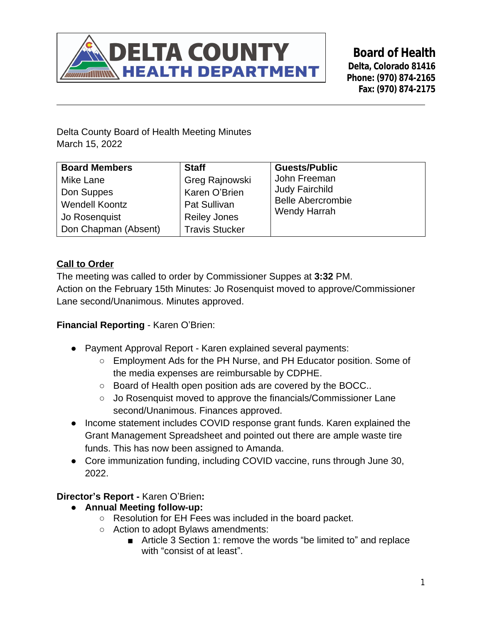

**Board of Health Delta, Colorado 81416 Phone: (970) 874-2165 Fax: (970) 874-2175**

Delta County Board of Health Meeting Minutes March 15, 2022

| <b>Board Members</b>  | <b>Staff</b>          | <b>Guests/Public</b>     |
|-----------------------|-----------------------|--------------------------|
| Mike Lane             | Greg Rajnowski        | John Freeman             |
| Don Suppes            | Karen O'Brien         | <b>Judy Fairchild</b>    |
| <b>Wendell Koontz</b> | <b>Pat Sullivan</b>   | <b>Belle Abercrombie</b> |
| Jo Rosenquist         | <b>Reiley Jones</b>   | <b>Wendy Harrah</b>      |
| Don Chapman (Absent)  | <b>Travis Stucker</b> |                          |

# **Call to Order**

The meeting was called to order by Commissioner Suppes at **3:32** PM. Action on the February 15th Minutes: Jo Rosenquist moved to approve/Commissioner Lane second/Unanimous. Minutes approved.

# **Financial Reporting** - Karen O'Brien:

- Payment Approval Report Karen explained several payments:
	- Employment Ads for the PH Nurse, and PH Educator position. Some of the media expenses are reimbursable by CDPHE.
	- Board of Health open position ads are covered by the BOCC..
	- Jo Rosenquist moved to approve the financials/Commissioner Lane second/Unanimous. Finances approved.
- Income statement includes COVID response grant funds. Karen explained the Grant Management Spreadsheet and pointed out there are ample waste tire funds. This has now been assigned to Amanda.
- Core immunization funding, including COVID vaccine, runs through June 30, 2022.

## **Director's Report -** Karen O'Brien**:**

- **● Annual Meeting follow-up:**
	- Resolution for EH Fees was included in the board packet.
	- Action to adopt Bylaws amendments:
		- Article 3 Section 1: remove the words "be limited to" and replace with "consist of at least".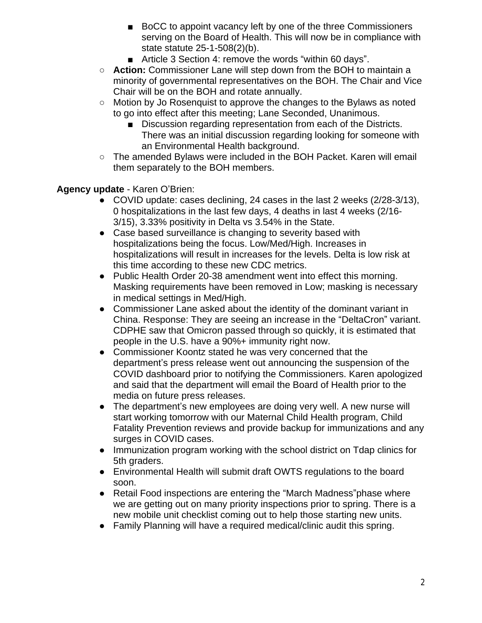- BoCC to appoint vacancy left by one of the three Commissioners serving on the Board of Health. This will now be in compliance with state statute 25-1-508(2)(b).
- Article 3 Section 4: remove the words "within 60 days".
- **○ Action:** Commissioner Lane will step down from the BOH to maintain a minority of governmental representatives on the BOH. The Chair and Vice Chair will be on the BOH and rotate annually.
- Motion by Jo Rosenquist to approve the changes to the Bylaws as noted to go into effect after this meeting; Lane Seconded, Unanimous.
	- Discussion regarding representation from each of the Districts. There was an initial discussion regarding looking for someone with an Environmental Health background.
- The amended Bylaws were included in the BOH Packet. Karen will email them separately to the BOH members.

## **Agency update** - Karen O'Brien:

- COVID update: cases declining, 24 cases in the last 2 weeks (2/28-3/13), 0 hospitalizations in the last few days, 4 deaths in last 4 weeks (2/16- 3/15), 3.33% positivity in Delta vs 3.54% in the State.
- Case based surveillance is changing to severity based with hospitalizations being the focus. Low/Med/High. Increases in hospitalizations will result in increases for the levels. Delta is low risk at this time according to these new CDC metrics.
- Public Health Order 20-38 amendment went into effect this morning. Masking requirements have been removed in Low; masking is necessary in medical settings in Med/High.
- Commissioner Lane asked about the identity of the dominant variant in China. Response: They are seeing an increase in the "DeltaCron" variant. CDPHE saw that Omicron passed through so quickly, it is estimated that people in the U.S. have a 90%+ immunity right now.
- Commissioner Koontz stated he was very concerned that the department's press release went out announcing the suspension of the COVID dashboard prior to notifying the Commissioners. Karen apologized and said that the department will email the Board of Health prior to the media on future press releases.
- The department's new employees are doing very well. A new nurse will start working tomorrow with our Maternal Child Health program, Child Fatality Prevention reviews and provide backup for immunizations and any surges in COVID cases.
- Immunization program working with the school district on Tdap clinics for 5th graders.
- Environmental Health will submit draft OWTS regulations to the board soon.
- Retail Food inspections are entering the "March Madness" phase where we are getting out on many priority inspections prior to spring. There is a new mobile unit checklist coming out to help those starting new units.
- Family Planning will have a required medical/clinic audit this spring.